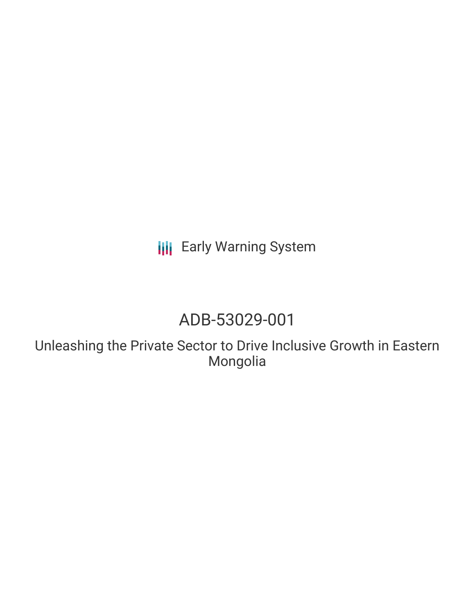**III** Early Warning System

# ADB-53029-001

Unleashing the Private Sector to Drive Inclusive Growth in Eastern Mongolia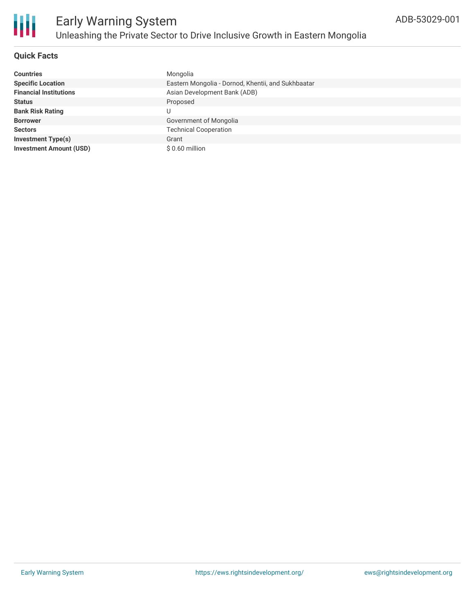

## **Quick Facts**

| <b>Countries</b>               | Mongolia                                           |
|--------------------------------|----------------------------------------------------|
| <b>Specific Location</b>       | Eastern Mongolia - Dornod, Khentii, and Sukhbaatar |
| <b>Financial Institutions</b>  | Asian Development Bank (ADB)                       |
| <b>Status</b>                  | Proposed                                           |
| <b>Bank Risk Rating</b>        |                                                    |
| <b>Borrower</b>                | Government of Mongolia                             |
| <b>Sectors</b>                 | <b>Technical Cooperation</b>                       |
| <b>Investment Type(s)</b>      | Grant                                              |
| <b>Investment Amount (USD)</b> | $$0.60$ million                                    |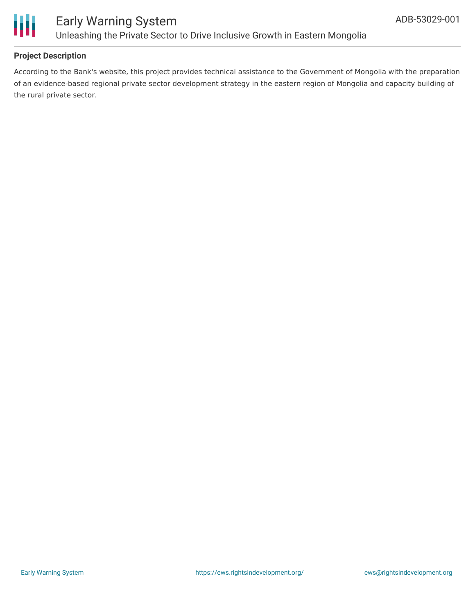

## **Project Description**

According to the Bank's website, this project provides technical assistance to the Government of Mongolia with the preparation of an evidence-based regional private sector development strategy in the eastern region of Mongolia and capacity building of the rural private sector.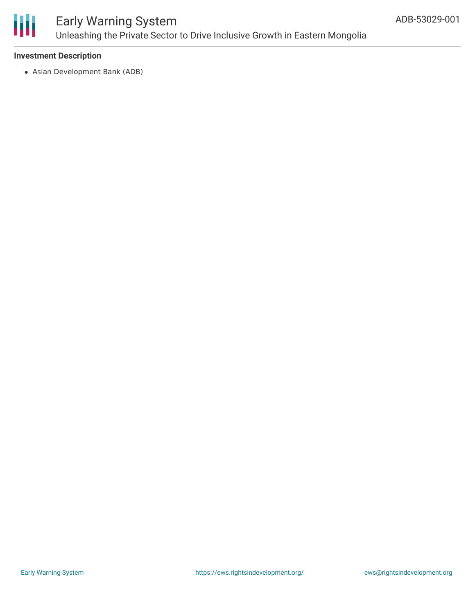

# Early Warning System Unleashing the Private Sector to Drive Inclusive Growth in Eastern Mongolia

#### **Investment Description**

Asian Development Bank (ADB)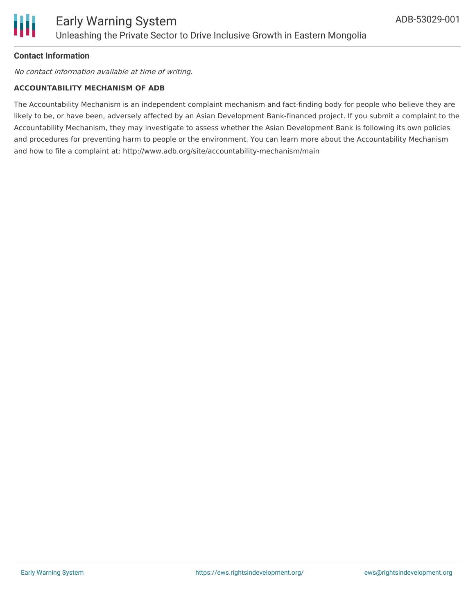

#### **Contact Information**

No contact information available at time of writing.

#### **ACCOUNTABILITY MECHANISM OF ADB**

The Accountability Mechanism is an independent complaint mechanism and fact-finding body for people who believe they are likely to be, or have been, adversely affected by an Asian Development Bank-financed project. If you submit a complaint to the Accountability Mechanism, they may investigate to assess whether the Asian Development Bank is following its own policies and procedures for preventing harm to people or the environment. You can learn more about the Accountability Mechanism and how to file a complaint at: http://www.adb.org/site/accountability-mechanism/main